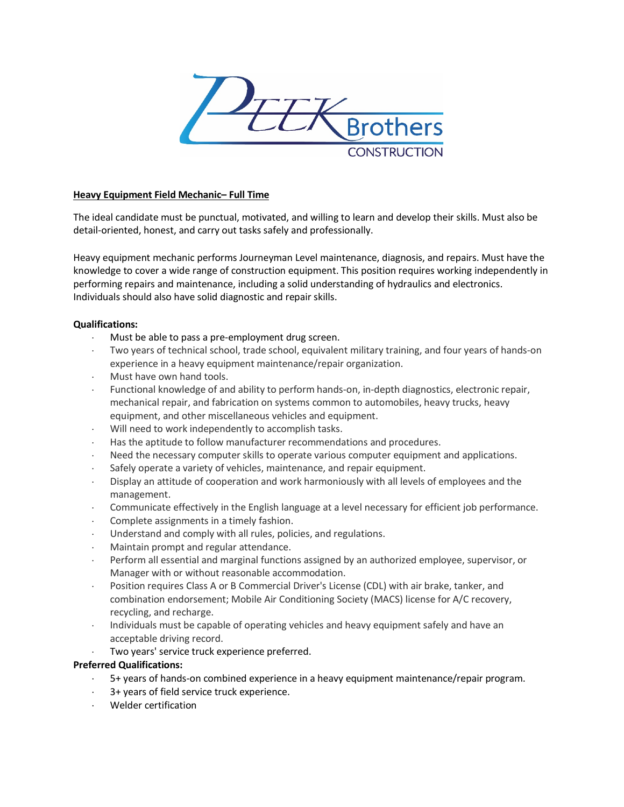

## **Heavy Equipment Field Mechanic– Full Time**

The ideal candidate must be punctual, motivated, and willing to learn and develop their skills. Must also be detail-oriented, honest, and carry out tasks safely and professionally.

Heavy equipment mechanic performs Journeyman Level maintenance, diagnosis, and repairs. Must have the knowledge to cover a wide range of construction equipment. This position requires working independently in performing repairs and maintenance, including a solid understanding of hydraulics and electronics. Individuals should also have solid diagnostic and repair skills.

## **Qualifications:**

- Must be able to pass a pre-employment drug screen.
- Two years of technical school, trade school, equivalent military training, and four years of hands-on experience in a heavy equipment maintenance/repair organization.
- Must have own hand tools.
- ⋅ Functional knowledge of and ability to perform hands-on, in-depth diagnostics, electronic repair, mechanical repair, and fabrication on systems common to automobiles, heavy trucks, heavy equipment, and other miscellaneous vehicles and equipment.
- ⋅ Will need to work independently to accomplish tasks.
- Has the aptitude to follow manufacturer recommendations and procedures.
- Need the necessary computer skills to operate various computer equipment and applications.
- Safely operate a variety of vehicles, maintenance, and repair equipment.
- ⋅ Display an attitude of cooperation and work harmoniously with all levels of employees and the management.
- ⋅ Communicate effectively in the English language at a level necessary for efficient job performance.
- Complete assignments in a timely fashion.
- ⋅ Understand and comply with all rules, policies, and regulations.
- Maintain prompt and regular attendance.
- Perform all essential and marginal functions assigned by an authorized employee, supervisor, or Manager with or without reasonable accommodation.
- Position requires Class A or B Commercial Driver's License (CDL) with air brake, tanker, and combination endorsement; Mobile Air Conditioning Society (MACS) license for A/C recovery, recycling, and recharge.
- ⋅ Individuals must be capable of operating vehicles and heavy equipment safely and have an acceptable driving record.
- Two years' service truck experience preferred.

# **Preferred Qualifications:**

- 5+ years of hands-on combined experience in a heavy equipment maintenance/repair program.
- 3+ years of field service truck experience.
- ⋅ Welder certification